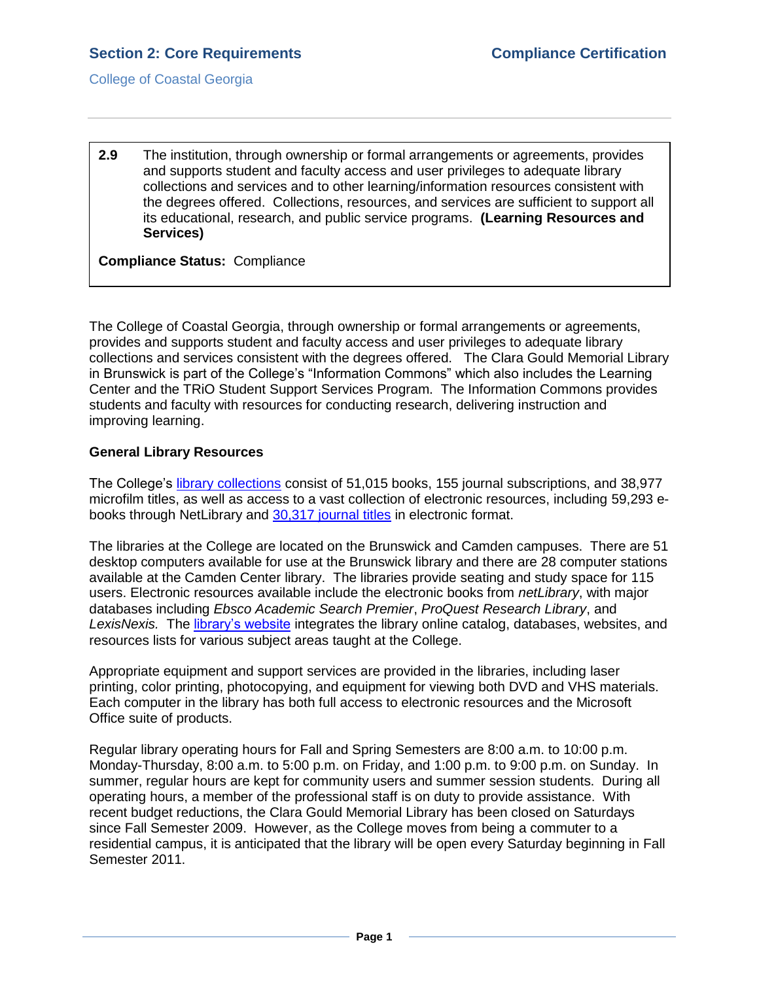College of Coastal Georgia

**2.9** The institution, through ownership or formal arrangements or agreements, provides and supports student and faculty access and user privileges to adequate library collections and services and to other learning/information resources consistent with the degrees offered. Collections, resources, and services are sufficient to support all its educational, research, and public service programs. **(Learning Resources and Services)** 

**Compliance Status:** Compliance

The College of Coastal Georgia, through ownership or formal arrangements or agreements, provides and supports student and faculty access and user privileges to adequate library collections and services consistent with the degrees offered. The Clara Gould Memorial Library in Brunswick is part of the College's "Information Commons" which also includes the Learning Center and the TRiO Student Support Services Program. The Information Commons provides students and faculty with resources for conducting research, delivering instruction and improving learning.

### **General Library Resources**

The College's [library collections](2.9.aCCGAlibraryannualstatistics.pdf#page=1) consist of 51,015 books, 155 journal subscriptions, and 38,977 microfilm titles, as well as access to a vast collection of electronic resources, including 59,293 ebooks through NetLibrary and [30,317 journal titles](2.9.bLibraryFull-TextJournalSources.pdf#page=1) in electronic format.

The libraries at the College are located on the Brunswick and Camden campuses. There are 51 desktop computers available for use at the Brunswick library and there are 28 computer stations available at the Camden Center library. The libraries provide seating and study space for 115 users. Electronic resources available include the electronic books from *netLibrary*, with major databases including *Ebsco Academic Search Premier*, *ProQuest Research Library*, and *LexisNexis.* The [library's website](2.9.cLibraryWebsite.pdf#page=1) integrates the library online catalog, databases, websites, and resources lists for various subject areas taught at the College.

Appropriate equipment and support services are provided in the libraries, including laser printing, color printing, photocopying, and equipment for viewing both DVD and VHS materials. Each computer in the library has both full access to electronic resources and the Microsoft Office suite of products.

Regular library operating hours for Fall and Spring Semesters are 8:00 a.m. to 10:00 p.m. Monday-Thursday, 8:00 a.m. to 5:00 p.m. on Friday, and 1:00 p.m. to 9:00 p.m. on Sunday. In summer, regular hours are kept for community users and summer session students. During all operating hours, a member of the professional staff is on duty to provide assistance. With recent budget reductions, the Clara Gould Memorial Library has been closed on Saturdays since Fall Semester 2009. However, as the College moves from being a commuter to a residential campus, it is anticipated that the library will be open every Saturday beginning in Fall Semester 2011.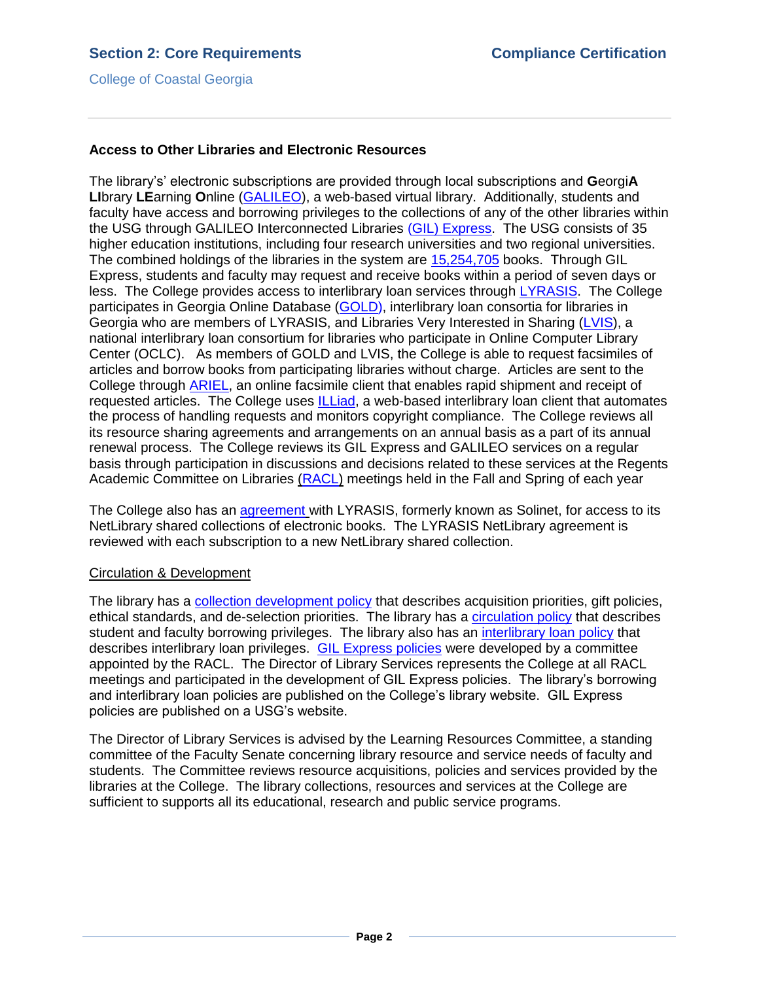College of Coastal Georgia

# **Access to Other Libraries and Electronic Resources**

The library's' electronic subscriptions are provided through local subscriptions and **G**eorgi**A LI**brary **LE**arning **O**nline [\(GALILEO\)](2.9.eGALILEOfactsheet.pdf#page=1), a web-based virtual library. Additionally, students and faculty have access and borrowing privileges to the collections of any of the other libraries within the USG through GALILEO Interconnected Libraries [\(GIL\) Express.](2.9.fGILExpress.htm#page=1) The USG consists of 35 higher education institutions, including four research universities and two regional universities. The combined holdings of the libraries in the system are [15,254,705](2.9.dUSGLibraryHoldings.pdf#page=1) books. Through GIL Express, students and faculty may request and receive books within a period of seven days or less. The College provides access to interlibrary loan services through [LYRASIS.](2.9.gLYRASIS.htm#page=1) The College participates in Georgia Online Database [\(GOLD\),](2.9.hGOLD.pdf#page=1) interlibrary loan consortia for libraries in Georgia who are members of LYRASIS, and Libraries Very Interested in Sharing [\(LVIS\)](2.9.iLVIS.pdf#page=1), a national interlibrary loan consortium for libraries who participate in Online Computer Library Center (OCLC). As members of GOLD and LVIS, the College is able to request facsimiles of articles and borrow books from participating libraries without charge. Articles are sent to the College through [ARIEL,](2.9.jARIEL.htm#page=1) an online facsimile client that enables rapid shipment and receipt of requested articles. The College uses [ILLiad,](2.9.kILLIAD.htm#page=1) a web-based interlibrary loan client that automates the process of handling requests and monitors copyright compliance. The College reviews all its resource sharing agreements and arrangements on an annual basis as a part of its annual renewal process. The College reviews its GIL Express and GALILEO services on a regular basis through participation in discussions and decisions related to these services at the Regents Academic Committee on Libraries [\(RACL\)](2.9.lRACL.pdf#page=1) meetings held in the Fall and Spring of each year

The College also has an [agreement](2.9.mSOLINETagreement.pdf#page=1) with LYRASIS, formerly known as Solinet, for access to its NetLibrary shared collections of electronic books. The LYRASIS NetLibrary agreement is reviewed with each subscription to a new NetLibrary shared collection.

### Circulation & Development

The library has a [collection development policy](2.9.nCollectionDevelopmentPolicy.pdf#page=1) that describes acquisition priorities, gift policies, ethical standards, and de-selection priorities. The library has a [circulation policy](2.9.oCCGACirculationPolicy.pdf#page=1) that describes student and faculty borrowing privileges. The library also has an [interlibrary loan policy](2.9.pInterlibraryLoanPolicy.pdf#page=1) that describes interlibrary loan privileges. [GIL Express policies](2.9.qGILInterlibraryLoan.pdf#page=1) were developed by a committee appointed by the RACL. The Director of Library Services represents the College at all RACL meetings and participated in the development of GIL Express policies. The library's borrowing and interlibrary loan policies are published on the College's library website. GIL Express policies are published on a USG's website.

The Director of Library Services is advised by the Learning Resources Committee, a standing committee of the Faculty Senate concerning library resource and service needs of faculty and students. The Committee reviews resource acquisitions, policies and services provided by the libraries at the College. The library collections, resources and services at the College are sufficient to supports all its educational, research and public service programs.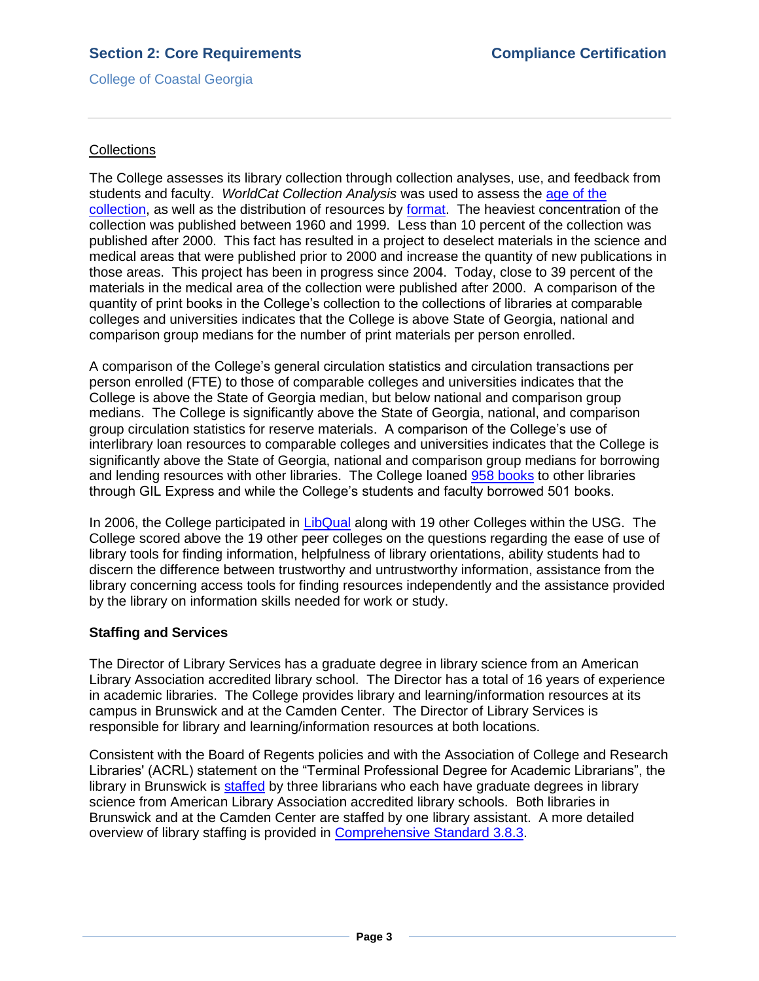# **Section 2: Core Requirements Compliance Certification**

College of Coastal Georgia

### **Collections**

The College assesses its library collection through collection analyses, use, and feedback from students and faculty. *WorldCat Collection Analysis* was used to assess the [age of the](2.9.rWorldCatCollectionAnalysisAge.pdf#page=1)  [collection,](2.9.rWorldCatCollectionAnalysisAge.pdf#page=1) as well as the distribution of resources by [format.](2.9.sWorldCatCollectionAnalysisMaterialType.pdf#page=1) The heaviest concentration of the collection was published between 1960 and 1999. Less than 10 percent of the collection was published after 2000. This fact has resulted in a project to deselect materials in the science and medical areas that were published prior to 2000 and increase the quantity of new publications in those areas. This project has been in progress since 2004. Today, close to 39 percent of the materials in the medical area of the collection were published after 2000. A comparison of the quantity of print books in the College's collection to the collections of libraries at comparable colleges and universities indicates that the College is above State of Georgia, national and comparison group medians for the number of print materials per person enrolled.

A comparison of the College's general circulation statistics and circulation transactions per person enrolled (FTE) to those of comparable colleges and universities indicates that the College is above the State of Georgia median, but below national and comparison group medians. The College is significantly above the State of Georgia, national, and comparison group circulation statistics for reserve materials. A comparison of the College's use of interlibrary loan resources to comparable colleges and universities indicates that the College is significantly above the State of Georgia, national and comparison group medians for borrowing and lending resources with other libraries. The College loaned [958 books](2.9.tNetLibraryUsage.pdf#page=1) to other libraries through GIL Express and while the College's students and faculty borrowed 501 books.

In 2006, the College participated in [LibQual](2.9.uLIBQUAL.pdf#page=1) along with 19 other Colleges within the USG. The College scored above the 19 other peer colleges on the questions regarding the ease of use of library tools for finding information, helpfulness of library orientations, ability students had to discern the difference between trustworthy and untrustworthy information, assistance from the library concerning access tools for finding resources independently and the assistance provided by the library on information skills needed for work or study.

### **Staffing and Services**

The Director of Library Services has a graduate degree in library science from an American Library Association accredited library school. The Director has a total of 16 years of experience in academic libraries. The College provides library and learning/information resources at its campus in Brunswick and at the Camden Center. The Director of Library Services is responsible for library and learning/information resources at both locations.

Consistent with the Board of Regents policies and with the Association of College and Research Libraries' (ACRL) statement on the "Terminal Professional Degree for Academic Librarians", the library in Brunswick is [staffed](2.9.vLibraryStaff.pdf#page=1) by three librarians who each have graduate degrees in library science from American Library Association accredited library schools. Both libraries in Brunswick and at the Camden Center are staffed by one library assistant. A more detailed overview of library staffing is provided in [Comprehensive Standard 3.8.3.](3.8.3.pdf#page=1)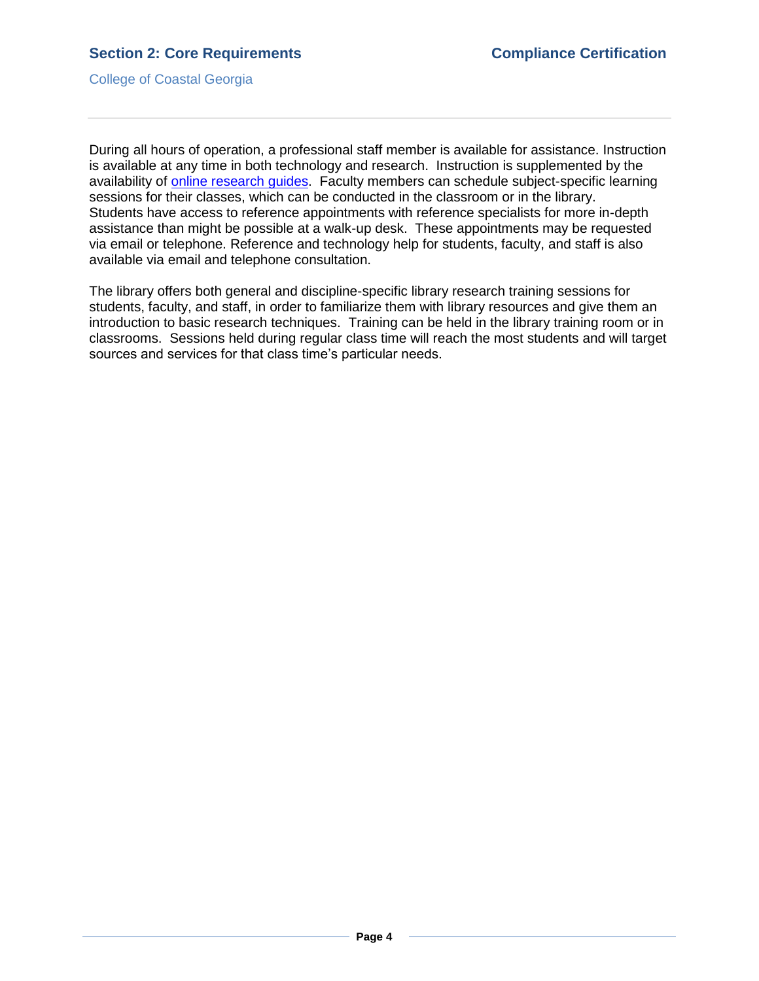College of Coastal Georgia

During all hours of operation, a professional staff member is available for assistance. Instruction is available at any time in both technology and research. Instruction is supplemented by the availability of [online research guides.](2.9.wOnlineResearchGuides.pdf#page=1) Faculty members can schedule subject-specific learning sessions for their classes, which can be conducted in the classroom or in the library. Students have access to reference appointments with reference specialists for more in-depth assistance than might be possible at a walk-up desk. These appointments may be requested via email or telephone. Reference and technology help for students, faculty, and staff is also available via email and telephone consultation.

The library offers both general and discipline-specific library research training sessions for students, faculty, and staff, in order to familiarize them with library resources and give them an introduction to basic research techniques. Training can be held in the library training room or in classrooms. Sessions held during regular class time will reach the most students and will target sources and services for that class time's particular needs.